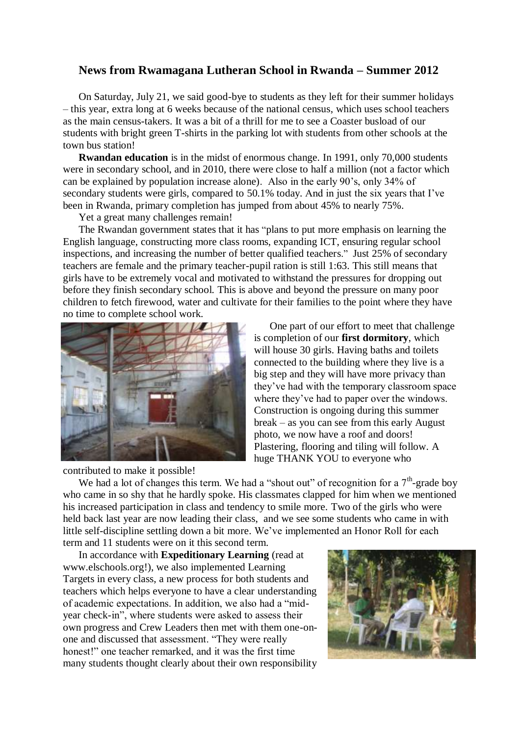## **News from Rwamagana Lutheran School in Rwanda – Summer 2012**

On Saturday, July 21, we said good-bye to students as they left for their summer holidays – this year, extra long at 6 weeks because of the national census, which uses school teachers as the main census-takers. It was a bit of a thrill for me to see a Coaster busload of our students with bright green T-shirts in the parking lot with students from other schools at the town bus station!

**Rwandan education** is in the midst of enormous change. In 1991, only 70,000 students were in secondary school, and in 2010, there were close to half a million (not a factor which can be explained by population increase alone). Also in the early 90's, only 34% of secondary students were girls, compared to 50.1% today. And in just the six years that I've been in Rwanda, primary completion has jumped from about 45% to nearly 75%.

Yet a great many challenges remain!

The Rwandan government states that it has "plans to put more emphasis on learning the English language, constructing more class rooms, expanding ICT, ensuring regular school inspections, and increasing the number of better qualified teachers." Just 25% of secondary teachers are female and the primary teacher-pupil ration is still 1:63. This still means that girls have to be extremely vocal and motivated to withstand the pressures for dropping out before they finish secondary school. This is above and beyond the pressure on many poor children to fetch firewood, water and cultivate for their families to the point where they have no time to complete school work.



contributed to make it possible!

One part of our effort to meet that challenge is completion of our **first dormitory**, which will house 30 girls. Having baths and toilets connected to the building where they live is a big step and they will have more privacy than they've had with the temporary classroom space where they've had to paper over the windows. Construction is ongoing during this summer break – as you can see from this early August photo, we now have a roof and doors! Plastering, flooring and tiling will follow. A huge THANK YOU to everyone who

We had a lot of changes this term. We had a "shout out" of recognition for a  $7<sup>th</sup>$ -grade boy who came in so shy that he hardly spoke. His classmates clapped for him when we mentioned his increased participation in class and tendency to smile more. Two of the girls who were held back last year are now leading their class, and we see some students who came in with little self-discipline settling down a bit more. We've implemented an Honor Roll for each term and 11 students were on it this second term.

In accordance with **Expeditionary Learning** (read at www.elschools.org!), we also implemented Learning Targets in every class, a new process for both students and teachers which helps everyone to have a clear understanding of academic expectations. In addition, we also had a "midyear check-in", where students were asked to assess their own progress and Crew Leaders then met with them one-onone and discussed that assessment. "They were really honest!" one teacher remarked, and it was the first time many students thought clearly about their own responsibility